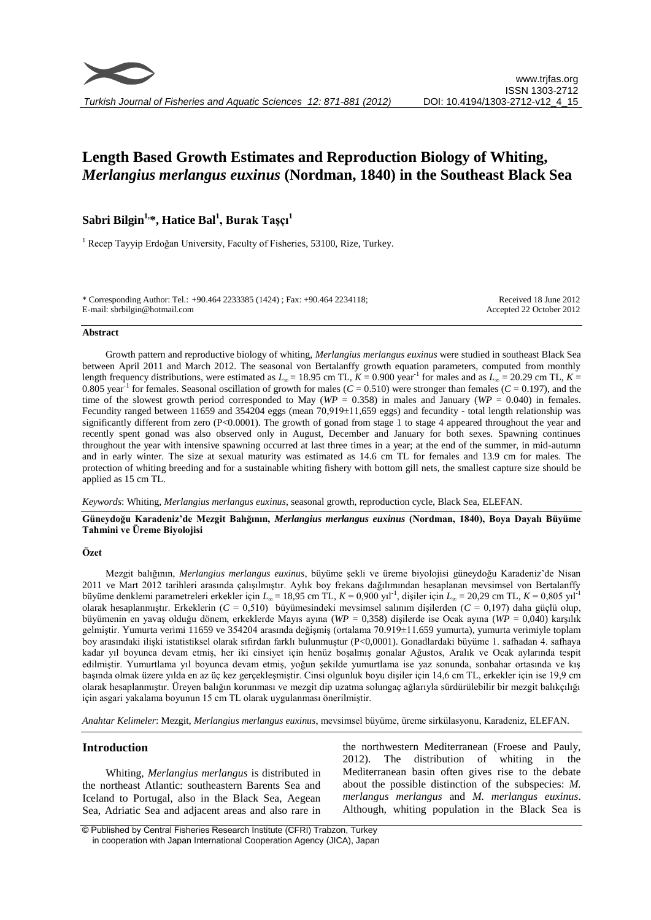# **Length Based Growth Estimates and Reproduction Biology of Whiting,**  *Merlangius merlangus euxinus* **(Nordman, 1840) in the Southeast Black Sea**

## **Sabri Bilgin1,\*, Hatice Bal<sup>1</sup> , Burak Taşçı<sup>1</sup>**

<sup>1</sup> Recep Tayyip Erdoğan University, Faculty of Fisheries, 53100, Rize, Turkey.

\* Corresponding Author: Tel.: +90.464 2233385 (1424) ; Fax: +90.464 2234118; E-mail: sbrbilgin@hotmail.com

Received 18 June 2012 Accepted 22 October 2012

#### **Abstract**

Growth pattern and reproductive biology of whiting, *Merlangius merlangus euxinus* were studied in southeast Black Sea between April 2011 and March 2012. The seasonal von Bertalanffy growth equation parameters, computed from monthly length frequency distributions, were estimated as  $L_\infty = 18.95$  cm TL,  $K = 0.900$  year<sup>-1</sup> for males and as  $L_\infty = 20.29$  cm TL,  $K =$ 0.805 year<sup>-1</sup> for females. Seasonal oscillation of growth for males ( $C = 0.510$ ) were stronger than females ( $C = 0.197$ ), and the time of the slowest growth period corresponded to May ( $WP = 0.358$ ) in males and January ( $WP = 0.040$ ) in females. Fecundity ranged between 11659 and 354204 eggs (mean 70,919±11,659 eggs) and fecundity - total length relationship was significantly different from zero (P<0.0001). The growth of gonad from stage 1 to stage 4 appeared throughout the year and recently spent gonad was also observed only in August, December and January for both sexes. Spawning continues throughout the year with intensive spawning occurred at last three times in a year; at the end of the summer, in mid-autumn and in early winter. The size at sexual maturity was estimated as 14.6 cm TL for females and 13.9 cm for males. The protection of whiting breeding and for a sustainable whiting fishery with bottom gill nets, the smallest capture size should be applied as 15 cm TL.

*Keywords*: Whiting, *Merlangius merlangus euxinus*, seasonal growth, reproduction cycle, Black Sea, ELEFAN.

#### **Güneydoğu Karadeniz'de Mezgit Balığının,** *Merlangius merlangus euxinus* **(Nordman, 1840), Boya Dayalı Büyüme Tahmini ve Üreme Biyolojisi**

#### **Özet**

Mezgit balığının, *Merlangius merlangus euxinus*, büyüme şekli ve üreme biyolojisi güneydoğu Karadeniz'de Nisan 2011 ve Mart 2012 tarihleri arasında çalışılmıştır. Aylık boy frekans dağılımından hesaplanan mevsimsel von Bertalanffy büyüme denklemi parametreleri erkekler için *L<sup>∞</sup>* = 18,95 cm TL, *K* = 0,900 yıl-1 , dişiler için *L<sup>∞</sup>* = 20,29 cm TL, *K* = 0,805 yıl-1 olarak hesaplanmıştır. Erkeklerin (*C* = 0,510) büyümesindeki mevsimsel salınım dişilerden (*C* = 0,197) daha güçlü olup, büyümenin en yavaş olduğu dönem, erkeklerde Mayıs ayına (*WP* = 0,358) dişilerde ise Ocak ayına (*WP* = 0,040) karşılık gelmiştir. Yumurta verimi 11659 ve 354204 arasında değişmiş (ortalama 70.919±11.659 yumurta), yumurta verimiyle toplam boy arasındaki ilişki istatistiksel olarak sıfırdan farklı bulunmuştur (P<0,0001). Gonadlardaki büyüme 1. safhadan 4. safhaya kadar yıl boyunca devam etmiş, her iki cinsiyet için henüz boşalmış gonalar Ağustos, Aralık ve Ocak aylarında tespit edilmiştir. Yumurtlama yıl boyunca devam etmiş, yoğun şekilde yumurtlama ise yaz sonunda, sonbahar ortasında ve kış başında olmak üzere yılda en az üç kez gerçekleşmiştir. Cinsi olgunluk boyu dişiler için 14,6 cm TL, erkekler için ise 19,9 cm olarak hesaplanmıştır. Üreyen balığın korunması ve mezgit dip uzatma solungaç ağlarıyla sürdürülebilir bir mezgit balıkçılığı için asgari yakalama boyunun 15 cm TL olarak uygulanması önerilmiştir.

*Anahtar Kelimeler*: Mezgit, *Merlangius merlangus euxinus*, mevsimsel büyüme, üreme sirkülasyonu, Karadeniz, ELEFAN.

### **Introduction**

Whiting, *Merlangius merlangus* is distributed in the northeast Atlantic: southeastern Barents Sea and Iceland to Portugal, also in the Black Sea, Aegean Sea, Adriatic Sea and adjacent areas and also rare in the northwestern Mediterranean (Froese and Pauly, 2012). The distribution of whiting in the Mediterranean basin often gives rise to the debate about the possible distinction of the subspecies: *M. merlangus merlangus* and *M. merlangus euxinus*. Although, whiting population in the Black Sea is

© Published by Central Fisheries Research Institute (CFRI) Trabzon, Turkey in cooperation with Japan International Cooperation Agency (JICA), Japan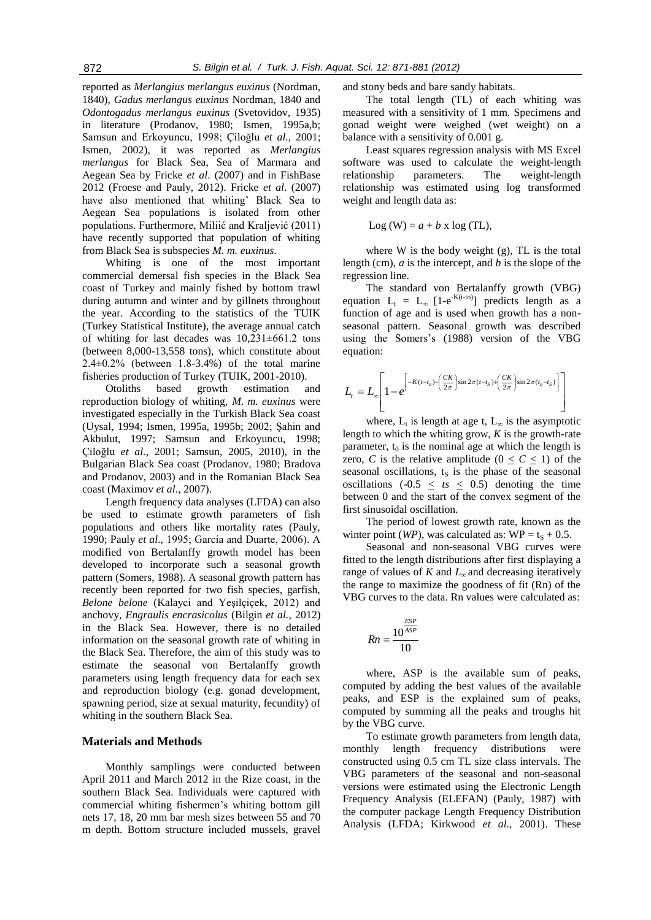reported as *Merlangius merlangus euxinus* (Nordman, 1840), *Gadus merlangus euxinus* Nordman, 1840 and *Odontogadus merlangus euxinus* (Svetovidov, 1935) in literature (Prodanov, 1980; Ismen, 1995a,b; Samsun and Erkoyuncu, 1998; Çiloğlu *et al.,* 2001; Ismen, 2002), it was reported as *Merlangius merlangus* for Black Sea, Sea of Marmara and Aegean Sea by Fricke *et al*. (2007) and in FishBase 2012 (Froese and Pauly, 2012). Fricke *et al*. (2007) have also mentioned that whiting' Black Sea to Aegean Sea populations is isolated from other populations. Furthermore, Miliić and Kraljević (2011) have recently supported that population of whiting from Black Sea is subspecies *M. m. euxinus*.

Whiting is one of the most important commercial demersal fish species in the Black Sea coast of Turkey and mainly fished by bottom trawl during autumn and winter and by gillnets throughout the year. According to the statistics of the TUIK (Turkey Statistical Institute), the average annual catch of whiting for last decades was  $10,231\pm661.2$  tons (between 8,000-13,558 tons), which constitute about  $2.4\pm0.2\%$  (between 1.8-3.4%) of the total marine fisheries production of Turkey (TUIK, 2001-2010).

Otoliths based growth estimation and reproduction biology of whiting, *M. m. euxinus* were investigated especially in the Turkish Black Sea coast (Uysal, 1994; Ismen, 1995a, 1995b; 2002; Şahin and Akbulut, 1997; Samsun and Erkoyuncu, 1998; Çiloğlu *et al.*, 2001; Samsun, 2005, 2010), in the Bulgarian Black Sea coast (Prodanov, 1980; Bradova and Prodanov, 2003) and in the Romanian Black Sea coast (Maximov *et al*., 2007).

Length frequency data analyses (LFDA) can also be used to estimate growth parameters of fish populations and others like mortality rates (Pauly, 1990; Pauly *et al*., 1995; García and Duarte, 2006). A modified von Bertalanffy growth model has been developed to incorporate such a seasonal growth pattern (Somers, 1988). A seasonal growth pattern has recently been reported for two fish species, garfish, *Belone belone* (Kalayci and Yeşilçiçek, 2012) and anchovy, *Engraulis encrasicolus* (Bilgin *et al.,* 2012) in the Black Sea. However, there is no detailed information on the seasonal growth rate of whiting in the Black Sea. Therefore, the aim of this study was to estimate the seasonal von Bertalanffy growth parameters using length frequency data for each sex and reproduction biology (e.g. gonad development, spawning period, size at sexual maturity, fecundity) of whiting in the southern Black Sea.

#### **Materials and Methods**

Monthly samplings were conducted between April 2011 and March 2012 in the Rize coast, in the southern Black Sea. Individuals were captured with commercial whiting fishermen's whiting bottom gill nets 17, 18, 20 mm bar mesh sizes between 55 and 70 m depth. Bottom structure included mussels, gravel and stony beds and bare sandy habitats.

The total length (TL) of each whiting was measured with a sensitivity of 1 mm. Specimens and gonad weight were weighed (wet weight) on a balance with a sensitivity of 0.001 g.

Least squares regression analysis with MS Excel software was used to calculate the weight-length relationship parameters. The weight-length relationship was estimated using log transformed weight and length data as:

$$
Log (W) = a + b \times log (TL),
$$

where W is the body weight (g), TL is the total length (cm), *a* is the intercept, and *b* is the slope of the regression line.

The standard von Bertalanffy growth (VBG) equation  $L_t = L_{\infty}$  [1-e<sup>-K(t-to)</sup>] predicts length as a function of age and is used when growth has a nonseasonal pattern. Seasonal growth was described using the Somers's (1988) version of the VBG equation:

$$
L_t = L_{\infty} \left[ 1 - e^{-\left[ -K(t-t_o) - \left( \frac{CK}{2\pi} \right) \sin 2\pi (t-t_s) + \left( \frac{CK}{2\pi} \right) \sin 2\pi (t_o - t_s) \right]} \right]
$$

where,  $L_t$  is length at age t,  $L_{\infty}$  is the asymptotic length to which the whiting grow, *K* is the growth-rate parameter,  $t_0$  is the nominal age at which the length is zero, *C* is the relative amplitude  $(0 \le C \le 1)$  of the seasonal oscillations,  $t<sub>S</sub>$  is the phase of the seasonal oscillations  $(-0.5 \leq ts \leq 0.5)$  denoting the time between 0 and the start of the convex segment of the first sinusoidal oscillation.

The period of lowest growth rate, known as the winter point (*WP*), was calculated as:  $WP = t_S + 0.5$ .

Seasonal and non-seasonal VBG curves were fitted to the length distributions after first displaying a range of values of *K* and *L<sup>∞</sup>* and decreasing iteratively the range to maximize the goodness of fit (Rn) of the VBG curves to the data. Rn values were calculated as:

$$
Rn = \frac{10^{\frac{ESP}{ASP}}}{10}
$$

where, ASP is the available sum of peaks, computed by adding the best values of the available peaks, and ESP is the explained sum of peaks, computed by summing all the peaks and troughs hit by the VBG curve.

To estimate growth parameters from length data, monthly length frequency distributions were constructed using 0.5 cm TL size class intervals. The VBG parameters of the seasonal and non-seasonal versions were estimated using the Electronic Length Frequency Analysis (ELEFAN) (Pauly, 1987) with the computer package Length Frequency Distribution Analysis (LFDA; Kirkwood *et al.*, 2001). These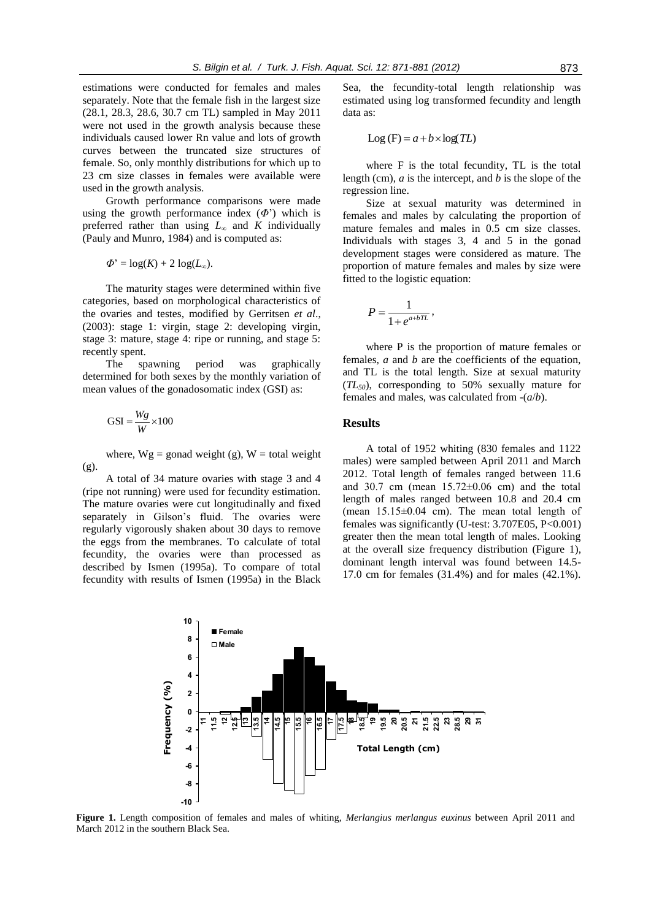estimations were conducted for females and males separately. Note that the female fish in the largest size (28.1, 28.3, 28.6, 30.7 cm TL) sampled in May 2011 were not used in the growth analysis because these individuals caused lower Rn value and lots of growth curves between the truncated size structures of female. So, only monthly distributions for which up to 23 cm size classes in females were available were used in the growth analysis.

Growth performance comparisons were made using the growth performance index  $(\Phi)$  which is preferred rather than using  $L_\infty$  and  $K$  individually (Pauly and Munro, 1984) and is computed as:

$$
\Phi' = \log(K) + 2 \log(L_{\infty}).
$$

The maturity stages were determined within five categories, based on morphological characteristics of the ovaries and testes, modified by Gerritsen *et al*., (2003): stage 1: virgin, stage 2: developing virgin, stage 3: mature, stage 4: ripe or running, and stage 5: recently spent.

The spawning period was graphically determined for both sexes by the monthly variation of mean values of the gonadosomatic index (GSI) as:

$$
GSI = \frac{Wg}{W} \times 100
$$

where,  $Wg =$  gonad weight (g),  $W =$  total weight (g).

A total of 34 mature ovaries with stage 3 and 4 (ripe not running) were used for fecundity estimation. The mature ovaries were cut longitudinally and fixed separately in Gilson's fluid. The ovaries were regularly vigorously shaken about 30 days to remove the eggs from the membranes. To calculate of total fecundity, the ovaries were than processed as described by Ismen (1995a). To compare of total fecundity with results of Ismen (1995a) in the Black Sea, the fecundity-total length relationship was estimated using log transformed fecundity and length data as:

$$
Log(F) = a + b \times log(TL)
$$

where F is the total fecundity, TL is the total length (cm), *a* is the intercept, and *b* is the slope of the regression line.

Size at sexual maturity was determined in females and males by calculating the proportion of mature females and males in 0.5 cm size classes. Individuals with stages 3, 4 and 5 in the gonad development stages were considered as mature. The proportion of mature females and males by size were fitted to the logistic equation:

$$
P=\frac{1}{1+e^{a+bTL}},
$$

where P is the proportion of mature females or females, *a* and *b* are the coefficients of the equation, and TL is the total length. Size at sexual maturity (*TL50*), corresponding to 50% sexually mature for females and males, was calculated from -(*a*/*b*).

#### **Results**

A total of 1952 whiting (830 females and 1122 males) were sampled between April 2011 and March 2012. Total length of females ranged between 11.6 and 30.7 cm (mean  $15.72\pm0.06$  cm) and the total length of males ranged between 10.8 and 20.4 cm (mean  $15.15\pm0.04$  cm). The mean total length of females was significantly (U-test: 3.707E05, P<0.001) greater then the mean total length of males. Looking at the overall size frequency distribution (Figure 1), dominant length interval was found between 14.5- 17.0 cm for females (31.4%) and for males (42.1%).



**Figure 1.** Length composition of females and males of whiting, *Merlangius merlangus euxinus* between April 2011 and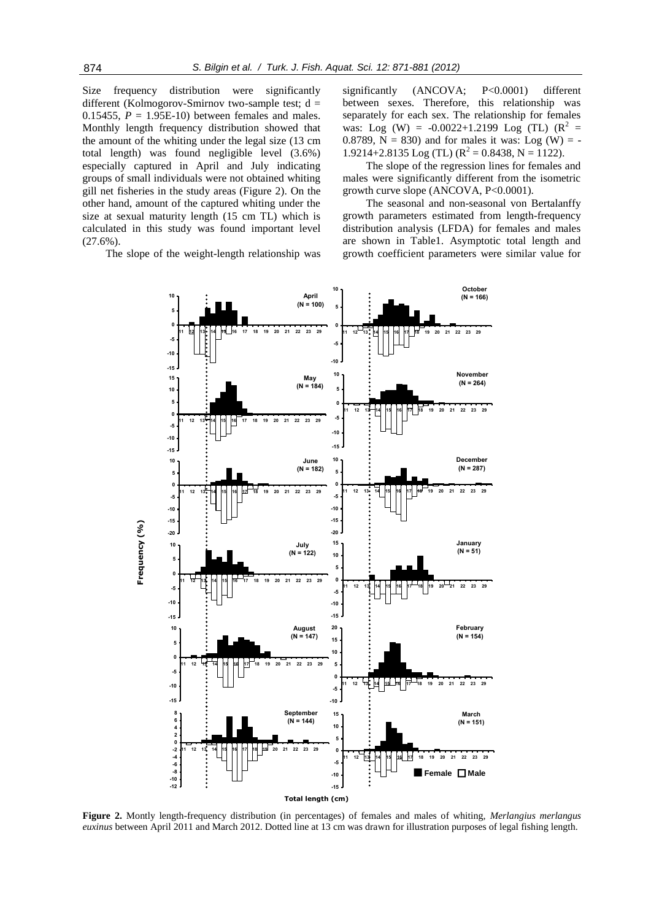Size frequency distribution were significantly different (Kolmogorov-Smirnov two-sample test;  $d =$ 0.15455,  $P = 1.95E-10$  between females and males. Monthly length frequency distribution showed that the amount of the whiting under the legal size (13 cm total length) was found negligible level (3.6%) especially captured in April and July indicating groups of small individuals were not obtained whiting gill net fisheries in the study areas (Figure 2). On the other hand, amount of the captured whiting under the size at sexual maturity length (15 cm TL) which is calculated in this study was found important level  $(27.6\%)$ .

The slope of the weight-length relationship was

significantly (ANCOVA; P<0.0001) different between sexes. Therefore, this relationship was separately for each sex. The relationship for females was: Log (W) = -0.0022+1.2199 Log (TL)  $(R^2 =$ 0.8789,  $N = 830$ ) and for males it was: Log (W) = - $1.9214 + 2.8135$  Log (TL)  $(R^2 = 0.8438, N = 1122)$ .

The slope of the regression lines for females and males were significantly different from the isometric growth curve slope (ANCOVA, P<0.0001).

The seasonal and non-seasonal von Bertalanffy growth parameters estimated from length-frequency distribution analysis (LFDA) for females and males are shown in Table1. Asymptotic total length and growth coefficient parameters were similar value for



**Figure 2.** Montly length-frequency distribution (in percentages) of females and males of whiting, *Merlangius merlangus*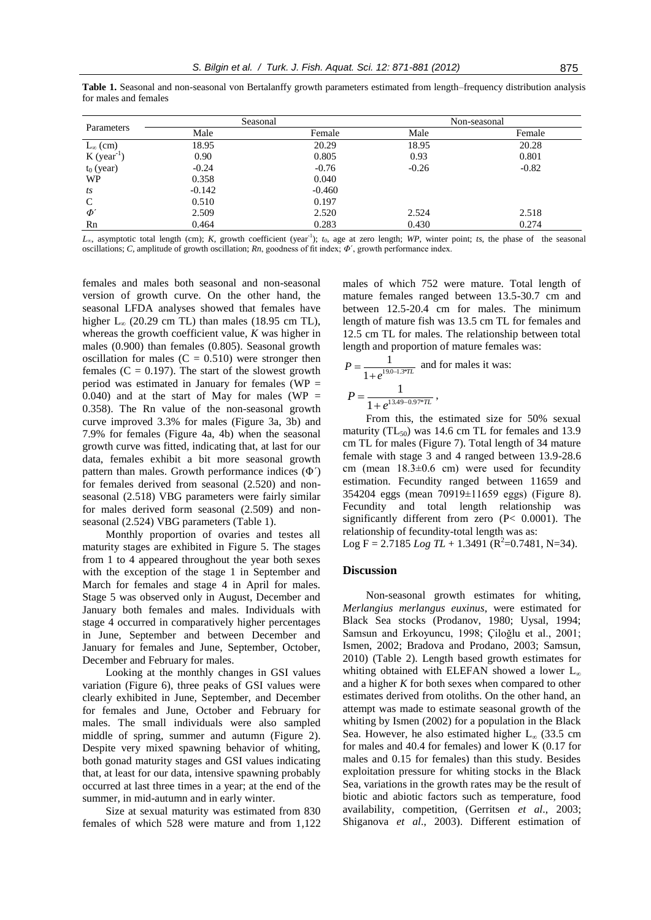| Table 1. Seasonal and non-seasonal von Bertalanffy growth parameters estimated from length–frequency distribution analysis |  |  |  |  |
|----------------------------------------------------------------------------------------------------------------------------|--|--|--|--|
| for males and females                                                                                                      |  |  |  |  |

| Parameters                | Seasonal |          |         | Non-seasonal |
|---------------------------|----------|----------|---------|--------------|
|                           | Male     | Female   | Male    | Female       |
| $L_{\infty}$ (cm)         | 18.95    | 20.29    | 18.95   | 20.28        |
| $K$ (year <sup>-1</sup> ) | 0.90     | 0.805    | 0.93    | 0.801        |
| $t_0$ (year)              | $-0.24$  | $-0.76$  | $-0.26$ | $-0.82$      |
| <b>WP</b>                 | 0.358    | 0.040    |         |              |
| ts                        | $-0.142$ | $-0.460$ |         |              |
| $\mathsf{C}$              | 0.510    | 0.197    |         |              |
| $\boldsymbol{\varPhi}'$   | 2.509    | 2.520    | 2.524   | 2.518        |
| Rn                        | 0.464    | 0.283    | 0.430   | 0.274        |

*L∞*, asymptotic total length (cm); *K*, growth coefficient (year-1 ); *t0*, age at zero length; *WP*, winter point; *ts*, the phase of the seasonal oscillations; *C*, amplitude of growth oscillation; *Rn*, goodness of fit index; *Φ*´, growth performance index.

females and males both seasonal and non-seasonal version of growth curve. On the other hand, the seasonal LFDA analyses showed that females have higher L*<sup>∞</sup>* (20.29 cm TL) than males (18.95 cm TL), whereas the growth coefficient value, *K* was higher in males (0.900) than females (0.805). Seasonal growth oscillation for males  $(C = 0.510)$  were stronger then females  $(C = 0.197)$ . The start of the slowest growth period was estimated in January for females ( $WP =$ 0.040) and at the start of May for males (WP  $=$ 0.358). The Rn value of the non-seasonal growth curve improved 3.3% for males (Figure 3a, 3b) and 7.9% for females (Figure 4a, 4b) when the seasonal growth curve was fitted, indicating that, at last for our data, females exhibit a bit more seasonal growth pattern than males. Growth performance indices (Φ´) for females derived from seasonal (2.520) and nonseasonal (2.518) VBG parameters were fairly similar for males derived form seasonal (2.509) and nonseasonal (2.524) VBG parameters (Table 1).

Monthly proportion of ovaries and testes all maturity stages are exhibited in Figure 5. The stages from 1 to 4 appeared throughout the year both sexes with the exception of the stage 1 in September and March for females and stage 4 in April for males. Stage 5 was observed only in August, December and January both females and males. Individuals with stage 4 occurred in comparatively higher percentages in June, September and between December and January for females and June, September, October, December and February for males.

Looking at the monthly changes in GSI values variation (Figure 6), three peaks of GSI values were clearly exhibited in June, September, and December for females and June, October and February for males. The small individuals were also sampled middle of spring, summer and autumn (Figure 2). Despite very mixed spawning behavior of whiting, both gonad maturity stages and GSI values indicating that, at least for our data, intensive spawning probably occurred at last three times in a year; at the end of the summer, in mid-autumn and in early winter.

Size at sexual maturity was estimated from 830 females of which 528 were mature and from 1,122 males of which 752 were mature. Total length of mature females ranged between 13.5-30.7 cm and between 12.5-20.4 cm for males. The minimum length of mature fish was 13.5 cm TL for females and 12.5 cm TL for males. The relationship between total length and proportion of mature females was:

$$
P = \frac{1}{1 + e^{19.0 - 1.3^{2}TL}}
$$
 and for males it was:  

$$
P = \frac{1}{1 + e^{13.49 - 0.97^{2}TL}}
$$
,

From this, the estimated size for 50% sexual maturity  $(TL_{50})$  was 14.6 cm TL for females and 13.9 cm TL for males (Figure 7). Total length of 34 mature female with stage 3 and 4 ranged between 13.9-28.6 cm (mean  $18.3\pm0.6$  cm) were used for fecundity estimation. Fecundity ranged between 11659 and 354204 eggs (mean 70919±11659 eggs) (Figure 8). Fecundity and total length relationship was significantly different from zero (P< 0.0001). The relationship of fecundity-total length was as: Log F = 2.7185 *Log TL* + 1.3491 ( $R^2$  = 0.7481, N = 34).

#### **Discussion**

Non-seasonal growth estimates for whiting, *Merlangius merlangus euxinus*, were estimated for Black Sea stocks (Prodanov, 1980; Uysal, 1994; Samsun and Erkoyuncu, 1998; Çiloğlu et al., 2001; Ismen, 2002; Bradova and Prodano, 2003; Samsun, 2010) (Table 2). Length based growth estimates for whiting obtained with ELEFAN showed a lower L<sup>∞</sup> and a higher *K* for both sexes when compared to other estimates derived from otoliths. On the other hand, an attempt was made to estimate seasonal growth of the whiting by Ismen (2002) for a population in the Black Sea. However, he also estimated higher  $L_{\infty}$  (33.5 cm for males and 40.4 for females) and lower K (0.17 for males and 0.15 for females) than this study. Besides exploitation pressure for whiting stocks in the Black Sea, variations in the growth rates may be the result of biotic and abiotic factors such as temperature, food availability, competition, (Gerritsen *et al*., 2003; Shiganova *et al*., 2003). Different estimation of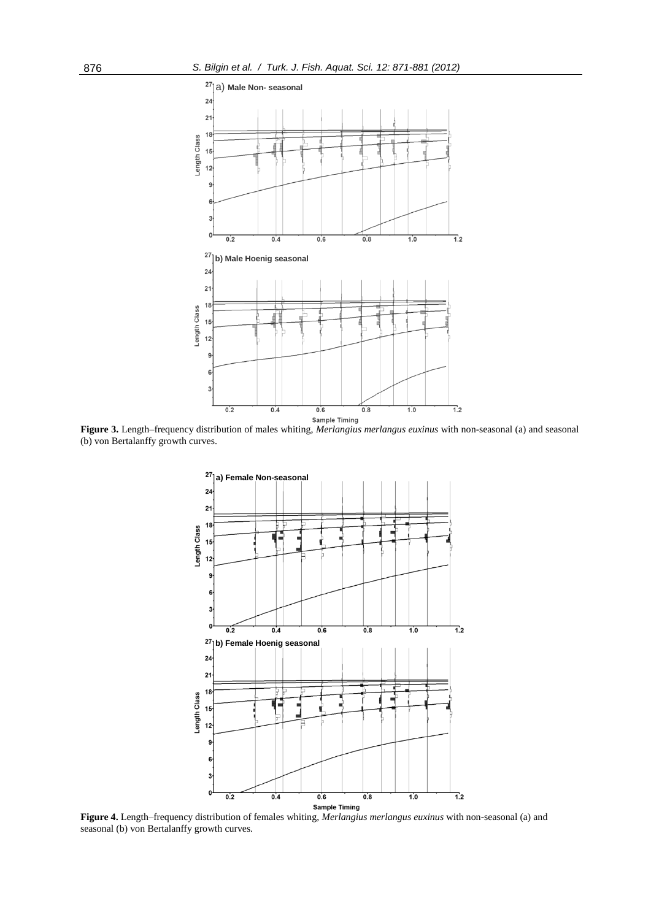

**Figure 3.** Length–frequency distribution of males whiting, *Merlangius merlangus euxinus* with non-seasonal (a) and seasonal (b) von Bertalanffy growth curves.



**Figure 4.** Length–frequency distribution of females whiting, *Merlangius merlangus euxinus* with non-seasonal (a) and seasonal (b) von Bertalanffy growth curves.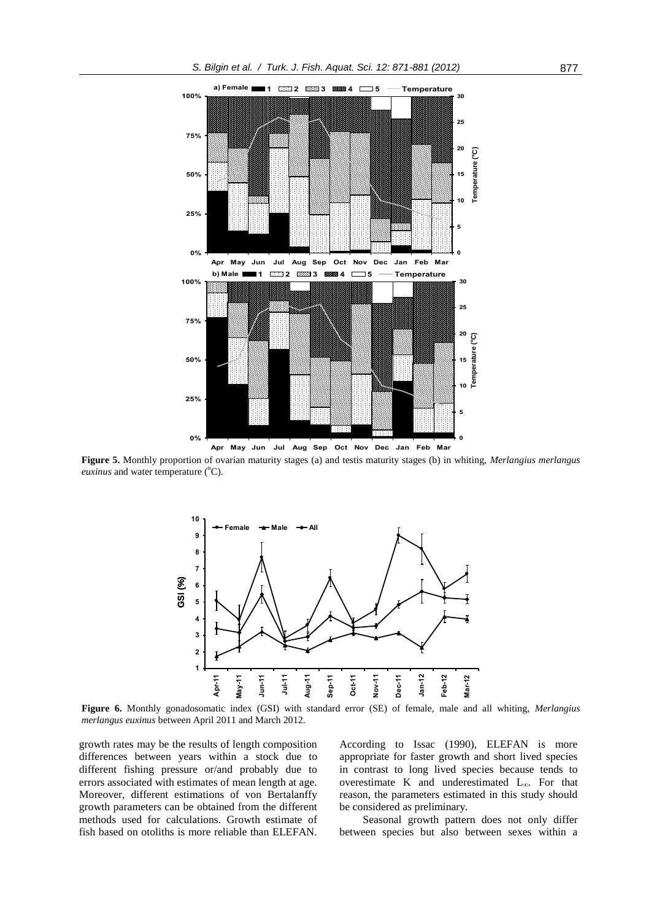

**Figure 5.** Monthly proportion of ovarian maturity stages (a) and testis maturity stages (b) in whiting, *Merlangius merlangus euxinus* and water temperature (°C).



**Figure 6.** Monthly gonadosomatic index (GSI) with standard error (SE) of female, male and all whiting, *Merlangius merlangus euxinus* between April 2011 and March 2012.

growth rates may be the results of length composition differences between years within a stock due to different fishing pressure or/and probably due to errors associated with estimates of mean length at age. Moreover, different estimations of von Bertalanffy growth parameters can be obtained from the different methods used for calculations. Growth estimate of fish based on otoliths is more reliable than ELEFAN. According to Issac (1990), ELEFAN is more appropriate for faster growth and short lived species in contrast to long lived species because tends to overestimate K and underestimated L∞. For that reason, the parameters estimated in this study should be considered as preliminary.

Seasonal growth pattern does not only differ between species but also between sexes within a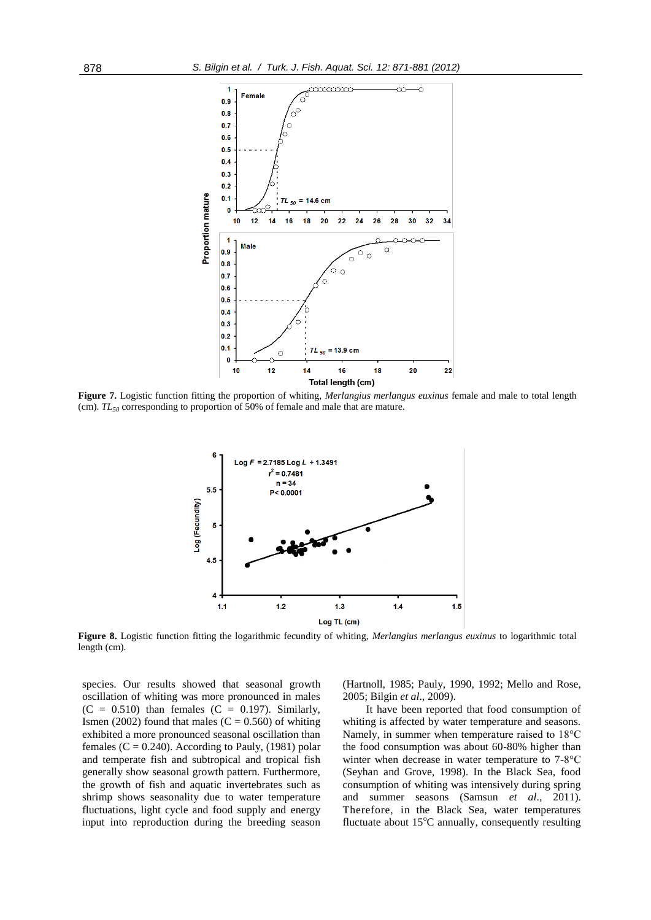

**Figure 7.** Logistic function fitting the proportion of whiting, *Merlangius merlangus euxinus* female and male to total length (cm). *TL<sup>50</sup>* corresponding to proportion of 50% of female and male that are mature.



**Figure 8.** Logistic function fitting the logarithmic fecundity of whiting, *Merlangius merlangus euxinus* to logarithmic total length (cm).

species. Our results showed that seasonal growth oscillation of whiting was more pronounced in males  $(C = 0.510)$  than females  $(C = 0.197)$ . Similarly, Ismen (2002) found that males  $(C = 0.560)$  of whiting exhibited a more pronounced seasonal oscillation than females ( $C = 0.240$ ). According to Pauly, (1981) polar and temperate fish and subtropical and tropical fish generally show seasonal growth pattern. Furthermore, the growth of fish and aquatic invertebrates such as shrimp shows seasonality due to water temperature fluctuations, light cycle and food supply and energy input into reproduction during the breeding season (Hartnoll, 1985; Pauly, 1990, 1992; Mello and Rose, 2005; Bilgin *et al*., 2009).

It have been reported that food consumption of whiting is affected by water temperature and seasons. Namely, in summer when temperature raised to 18°C the food consumption was about 60-80% higher than winter when decrease in water temperature to 7-8°C (Seyhan and Grove, 1998). In the Black Sea, food consumption of whiting was intensively during spring and summer seasons (Samsun *et al*., 2011). Therefore, in the Black Sea, water temperatures fluctuate about  $15^{\circ}$ C annually, consequently resulting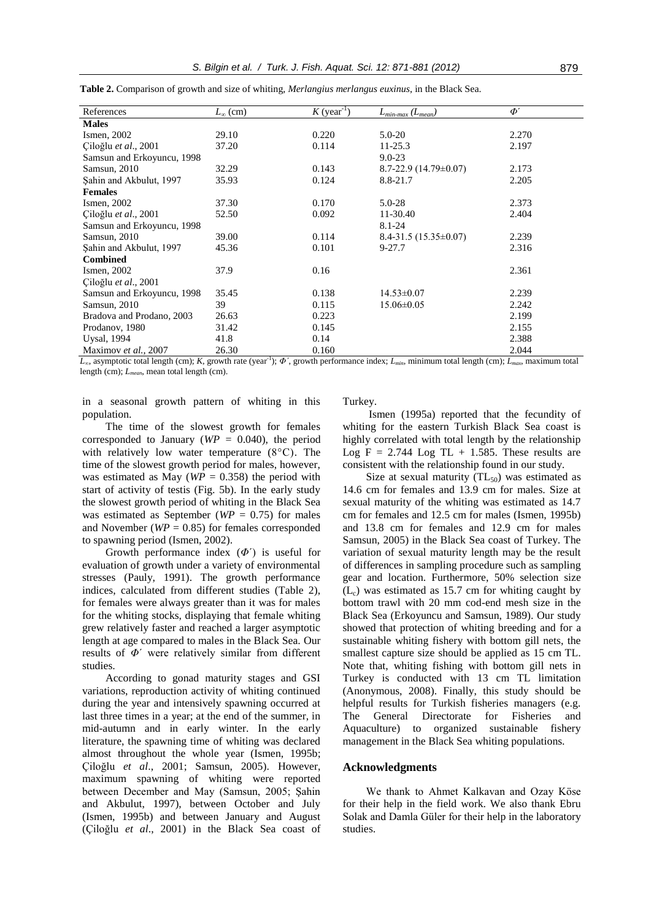| References                 | $L_{\infty}$ (cm)       | $K$ (year <sup>-1</sup> ) | $L_{min\text{-}max}$ ( $L_{mean}$ ) | $\Phi'$ |  |
|----------------------------|-------------------------|---------------------------|-------------------------------------|---------|--|
| <b>Males</b>               |                         |                           |                                     |         |  |
| Ismen, 2002                | 29.10                   | 0.220                     | $5.0 - 20$                          | 2.270   |  |
| Ciloğlu et al., 2001       | 37.20                   | 0.114                     | 11-25.3                             | 2.197   |  |
| Samsun and Erkoyuncu, 1998 |                         |                           | $9.0 - 23$                          |         |  |
| Samsun, 2010               | 32.29                   | 0.143                     | $8.7 - 22.9$ (14.79 $\pm$ 0.07)     | 2.173   |  |
| Sahin and Akbulut, 1997    | 35.93                   | 0.124                     | 8.8-21.7                            | 2.205   |  |
| <b>Females</b>             |                         |                           |                                     |         |  |
| Ismen, 2002                | 37.30                   | 0.170                     | $5.0 - 28$                          | 2.373   |  |
| Ciloğlu et al., 2001       | 52.50                   | 0.092                     | 11-30.40                            | 2.404   |  |
| Samsun and Erkoyuncu, 1998 |                         |                           | $8.1 - 24$                          |         |  |
| Samsun, 2010               | 39.00                   | 0.114                     | $8.4 - 31.5(15.35 \pm 0.07)$        | 2.239   |  |
| Sahin and Akbulut, 1997    | 45.36                   | 0.101                     | $9 - 27.7$                          | 2.316   |  |
| <b>Combined</b>            |                         |                           |                                     |         |  |
| Ismen, 2002                | 37.9                    | 0.16                      |                                     | 2.361   |  |
| Ciloğlu et al., 2001       |                         |                           |                                     |         |  |
| Samsun and Erkoyuncu, 1998 | 35.45                   | 0.138                     | $14.53 \pm 0.07$                    | 2.239   |  |
| Samsun, 2010               | 39                      | 0.115                     | $15.06 \pm 0.05$                    | 2.242   |  |
| Bradova and Prodano, 2003  | 26.63                   | 0.223                     |                                     | 2.199   |  |
| Prodanov, 1980             | 31.42                   | 0.145                     |                                     | 2.155   |  |
| <b>Uysal</b> , 1994        | 41.8                    | 0.14                      |                                     | 2.388   |  |
| Maximov et al., 2007       | 26.30<br>$-1$ $  \cdot$ | 0.160                     | $\cdot$ $\cdot$                     | 2.044   |  |

**Table 2.** Comparison of growth and size of whiting, *Merlangius merlangus euxinus*, in the Black Sea.

*L∞*, asymptotic total length (cm); *K*, growth rate (year-1 ); *Φ´*, growth performance index; *Lmin*, minimum total length (cm); *Lmax*, maximum total length (cm); *Lmean*, mean total length (cm).

in a seasonal growth pattern of whiting in this population.

The time of the slowest growth for females corresponded to January ( $WP = 0.040$ ), the period with relatively low water temperature (8°C). The time of the slowest growth period for males, however, was estimated as May ( $WP = 0.358$ ) the period with start of activity of testis (Fig. 5b). In the early study the slowest growth period of whiting in the Black Sea was estimated as September ( $WP = 0.75$ ) for males and November (*WP* = 0.85) for females corresponded to spawning period (Ismen, 2002).

Growth performance index (*Φ*´) is useful for evaluation of growth under a variety of environmental stresses (Pauly, 1991). The growth performance indices, calculated from different studies (Table 2), for females were always greater than it was for males for the whiting stocks, displaying that female whiting grew relatively faster and reached a larger asymptotic length at age compared to males in the Black Sea. Our results of *Φ*´ were relatively similar from different studies.

According to gonad maturity stages and GSI variations, reproduction activity of whiting continued during the year and intensively spawning occurred at last three times in a year; at the end of the summer, in mid-autumn and in early winter. In the early literature, the spawning time of whiting was declared almost throughout the whole year (Ismen, 1995b; Çiloğlu *et al*., 2001; Samsun, 2005). However, maximum spawning of whiting were reported between December and May (Samsun, 2005; Şahin and Akbulut, 1997), between October and July (Ismen, 1995b) and between January and August (Çiloğlu *et al*., 2001) in the Black Sea coast of Turkey.

Ismen (1995a) reported that the fecundity of whiting for the eastern Turkish Black Sea coast is highly correlated with total length by the relationship Log  $F = 2.744$  Log TL + 1.585. These results are consistent with the relationship found in our study.

Size at sexual maturity  $(TL_{50})$  was estimated as 14.6 cm for females and 13.9 cm for males. Size at sexual maturity of the whiting was estimated as 14.7 cm for females and 12.5 cm for males (Ismen, 1995b) and 13.8 cm for females and 12.9 cm for males Samsun, 2005) in the Black Sea coast of Turkey. The variation of sexual maturity length may be the result of differences in sampling procedure such as sampling gear and location. Furthermore, 50% selection size  $(L_c)$  was estimated as 15.7 cm for whiting caught by bottom trawl with 20 mm cod-end mesh size in the Black Sea (Erkoyuncu and Samsun, 1989). Our study showed that protection of whiting breeding and for a sustainable whiting fishery with bottom gill nets, the smallest capture size should be applied as 15 cm TL. Note that, whiting fishing with bottom gill nets in Turkey is conducted with 13 cm TL limitation (Anonymous, 2008). Finally, this study should be helpful results for Turkish fisheries managers (e.g. The General Directorate for Fisheries and Aquaculture) to organized sustainable fishery management in the Black Sea whiting populations.

#### **Acknowledgments**

We thank to Ahmet Kalkavan and Ozay Köse for their help in the field work. We also thank Ebru Solak and Damla Güler for their help in the laboratory studies.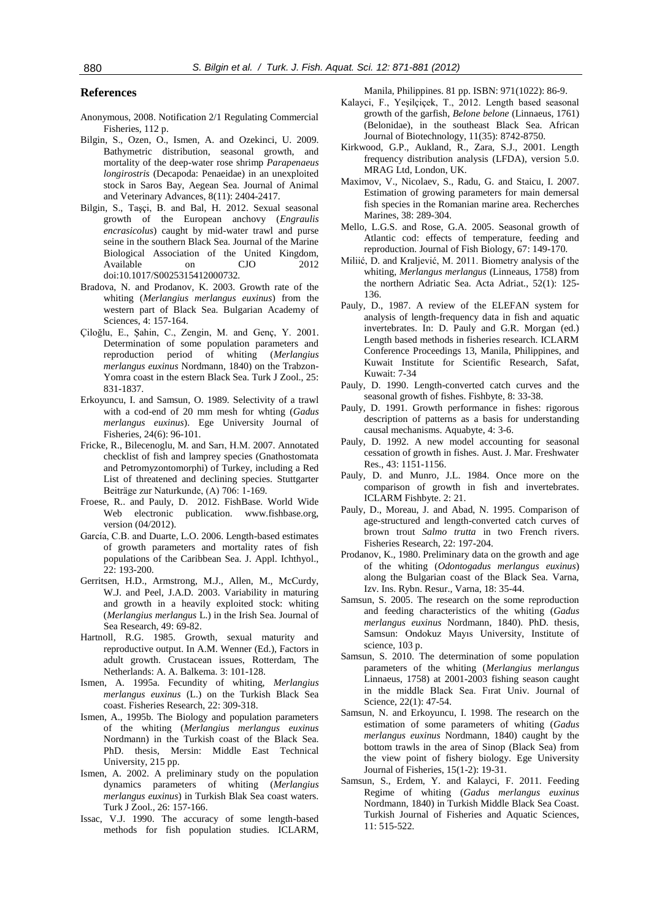#### **References**

- Anonymous, 2008. Notification 2/1 Regulating Commercial Fisheries, 112 p.
- Bilgin, S., Ozen, O., Ismen, A. and Ozekinci, U. 2009. Bathymetric distribution, seasonal growth, and mortality of the deep-water rose shrimp *Parapenaeus longirostris* (Decapoda: Penaeidae) in an unexploited stock in Saros Bay, Aegean Sea. Journal of Animal and Veterinary Advances, 8(11): 2404-2417.
- Bilgin, S., Taşçi, B. and Bal, H. 2012. Sexual seasonal growth of the European anchovy (*Engraulis encrasicolus*) caught by mid-water trawl and purse seine in the southern Black Sea. Journal of the Marine Biological Association of the United Kingdom, Available on CJO 2012 doi:10.1017/S0025315412000732.
- Bradova, N. and Prodanov, K. 2003. Growth rate of the whiting (*Merlangius merlangus euxinus*) from the western part of Black Sea. Bulgarian Academy of Sciences, 4: 157-164.
- Çiloğlu, E., Şahin, C., Zengin, M. and Genç, Y. 2001. Determination of some population parameters and reproduction period of whiting (*Merlangius merlangus euxinus* Nordmann, 1840) on the Trabzon-Yomra coast in the estern Black Sea. Turk J Zool., 25: 831-1837.
- Erkoyuncu, I. and Samsun, O. 1989. Selectivity of a trawl with a cod-end of 20 mm mesh for whting (*Gadus merlangus euxinus*). Ege University Journal of Fisheries, 24(6): 96-101.
- Fricke, R., Bilecenoglu, M. and Sarı, H.M. 2007. Annotated checklist of fish and lamprey species (Gnathostomata and Petromyzontomorphi) of Turkey, including a Red List of threatened and declining species. Stuttgarter Beiträge zur Naturkunde, (A) 706: 1-169.
- Froese, R.. and Pauly, D. 2012. FishBase. World Wide Web electronic publication. www.fishbase.org, version (04/2012).
- García, C.B. and Duarte, L.O. 2006. Length-based estimates of growth parameters and mortality rates of fish populations of the Caribbean Sea. J. Appl. Ichthyol., 22: 193-200.
- Gerritsen, H.D., Armstrong, M.J., Allen, M., McCurdy, W.J. and Peel, J.A.D. 2003. Variability in maturing and growth in a heavily exploited stock: whiting (*Merlangius merlangus* L.) in the Irish Sea. Journal of Sea Research, 49: 69-82.
- Hartnoll, R.G. 1985. Growth, sexual maturity and reproductive output. In A.M. Wenner (Ed.), Factors in adult growth. Crustacean issues, Rotterdam, The Netherlands: A. A. Balkema. 3: 101-128.
- Ismen, A. 1995a. Fecundity of whiting, *Merlangius merlangus euxinus* (L.) on the Turkish Black Sea coast. Fisheries Research, 22: 309-318.
- Ismen, A., 1995b. The Biology and population parameters of the whiting (*Merlangius merlangus euxinus* Nordmann) in the Turkish coast of the Black Sea. PhD. thesis, Mersin: Middle East Technical University, 215 pp.
- Ismen, A. 2002. A preliminary study on the population dynamics parameters of whiting (*Merlangius merlangus euxinus*) in Turkish Blak Sea coast waters. Turk J Zool., 26: 157-166.
- Issac, V.J. 1990. The accuracy of some length-based methods for fish population studies. ICLARM,

Manila, Philippines. 81 pp. ISBN: 971(1022): 86-9.

- Kalayci, F., Yeşilçiçek, T., 2012. Length based seasonal growth of the garfish, *Belone belone* (Linnaeus, 1761) (Belonidae), in the southeast Black Sea. African Journal of Biotechnology, 11(35): 8742-8750.
- Kirkwood, G.P., Aukland, R., Zara, S.J., 2001. Length frequency distribution analysis (LFDA), version 5.0. MRAG Ltd, London, UK.
- Maximov, V., Nicolaev, S., Radu, G. and Staicu, I. 2007. Estimation of growing parameters for main demersal fish species in the Romanian marine area. Recherches Marines, 38: 289-304.
- Mello, L.G.S. and Rose, G.A. 2005. Seasonal growth of Atlantic cod: effects of temperature, feeding and reproduction. Journal of Fish Biology, 67: 149-170.
- Miliić, D. and Kraljević, M. 2011. Biometry analysis of the whiting, *Merlangus merlangus* (Linneaus, 1758) from the northern Adriatic Sea. Acta Adriat., 52(1): 125- 136.
- Pauly, D., 1987. A review of the ELEFAN system for analysis of length-frequency data in fish and aquatic invertebrates. In: D. Pauly and G.R. Morgan (ed.) Length based methods in fisheries research. ICLARM Conference Proceedings 13, Manila, Philippines, and Kuwait Institute for Scientific Research, Safat, Kuwait: 7-34
- Pauly, D. 1990. Length-converted catch curves and the seasonal growth of fishes. Fishbyte, 8: 33-38.
- Pauly, D. 1991. Growth performance in fishes: rigorous description of patterns as a basis for understanding causal mechanisms. Aquabyte, 4: 3-6.
- Pauly, D. 1992. A new model accounting for seasonal cessation of growth in fishes. Aust. J. Mar. Freshwater Res., 43: 1151-1156.
- Pauly, D. and Munro, J.L. 1984. Once more on the comparison of growth in fish and invertebrates. ICLARM Fishbyte. 2: 21.
- Pauly, D., Moreau, J. and Abad, N. 1995. Comparison of age-structured and length-converted catch curves of brown trout *Salmo trutta* in two French rivers. Fisheries Research, 22: 197-204.
- Prodanov, K., 1980. Preliminary data on the growth and age of the whiting (*Odontogadus merlangus euxinus*) along the Bulgarian coast of the Black Sea. Varna, Izv. Ins. Rybn. Resur., Varna, 18: 35-44.
- Samsun, S. 2005. The research on the some reproduction and feeding characteristics of the whiting (*Gadus merlangus euxinus* Nordmann, 1840). PhD. thesis, Samsun: Ondokuz Mayıs University, Institute of science, 103 p.
- Samsun, S. 2010. The determination of some population parameters of the whiting (*Merlangius merlangus* Linnaeus, 1758) at 2001-2003 fishing season caught in the middle Black Sea. Fırat Univ. Journal of Science, 22(1): 47-54.
- Samsun, N. and Erkoyuncu, I. 1998. The research on the estimation of some parameters of whiting (*Gadus merlangus euxinus* Nordmann, 1840) caught by the bottom trawls in the area of Sinop (Black Sea) from the view point of fishery biology. Ege University Journal of Fisheries, 15(1-2): 19-31.
- Samsun, S., Erdem, Y. and Kalayci, F. 2011. Feeding Regime of whiting (*Gadus merlangus euxinus*  Nordmann, 1840) in Turkish Middle Black Sea Coast. Turkish Journal of Fisheries and Aquatic Sciences, 11: 515-522.